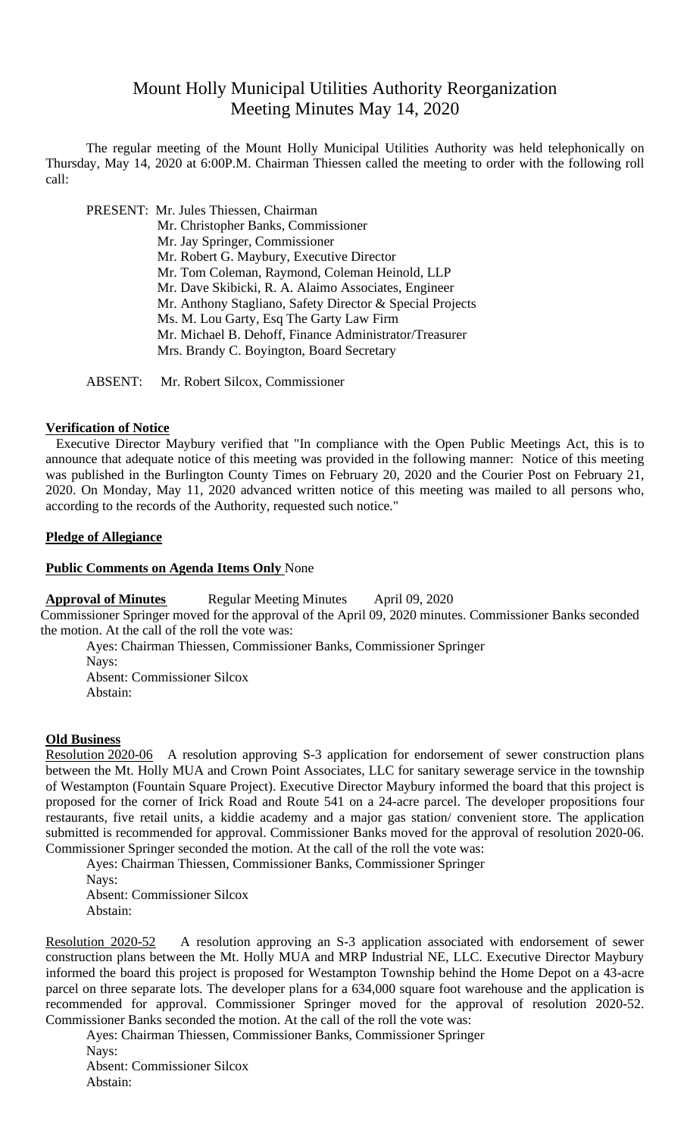# Mount Holly Municipal Utilities Authority Reorganization Meeting Minutes May 14, 2020

The regular meeting of the Mount Holly Municipal Utilities Authority was held telephonically on Thursday, May 14, 2020 at 6:00P.M. Chairman Thiessen called the meeting to order with the following roll call:

PRESENT: Mr. Jules Thiessen, Chairman Mr. Christopher Banks, Commissioner Mr. Jay Springer, Commissioner Mr. Robert G. Maybury, Executive Director Mr. Tom Coleman, Raymond, Coleman Heinold, LLP Mr. Dave Skibicki, R. A. Alaimo Associates, Engineer Mr. Anthony Stagliano, Safety Director & Special Projects Ms. M. Lou Garty, Esq The Garty Law Firm Mr. Michael B. Dehoff, Finance Administrator/Treasurer Mrs. Brandy C. Boyington, Board Secretary

ABSENT: Mr. Robert Silcox, Commissioner

#### **Verification of Notice**

Executive Director Maybury verified that "In compliance with the Open Public Meetings Act, this is to announce that adequate notice of this meeting was provided in the following manner: Notice of this meeting was published in the Burlington County Times on February 20, 2020 and the Courier Post on February 21, 2020. On Monday, May 11, 2020 advanced written notice of this meeting was mailed to all persons who, according to the records of the Authority, requested such notice."

# **Pledge of Allegiance**

## **Public Comments on Agenda Items Only** None

# **Approval of Minutes** Regular Meeting Minutes April 09, 2020

Commissioner Springer moved for the approval of the April 09, 2020 minutes. Commissioner Banks seconded the motion. At the call of the roll the vote was:

Ayes: Chairman Thiessen, Commissioner Banks, Commissioner Springer Nays: Absent: Commissioner Silcox Abstain:

#### **Old Business**

Resolution 2020-06 A resolution approving S-3 application for endorsement of sewer construction plans between the Mt. Holly MUA and Crown Point Associates, LLC for sanitary sewerage service in the township of Westampton (Fountain Square Project). Executive Director Maybury informed the board that this project is proposed for the corner of Irick Road and Route 541 on a 24-acre parcel. The developer propositions four restaurants, five retail units, a kiddie academy and a major gas station/ convenient store. The application submitted is recommended for approval. Commissioner Banks moved for the approval of resolution 2020-06. Commissioner Springer seconded the motion. At the call of the roll the vote was:

Ayes: Chairman Thiessen, Commissioner Banks, Commissioner Springer

Nays: Absent: Commissioner Silcox Abstain:

Resolution 2020-52 A resolution approving an S-3 application associated with endorsement of sewer construction plans between the Mt. Holly MUA and MRP Industrial NE, LLC. Executive Director Maybury informed the board this project is proposed for Westampton Township behind the Home Depot on a 43-acre parcel on three separate lots. The developer plans for a 634,000 square foot warehouse and the application is recommended for approval. Commissioner Springer moved for the approval of resolution 2020-52. Commissioner Banks seconded the motion. At the call of the roll the vote was:

Ayes: Chairman Thiessen, Commissioner Banks, Commissioner Springer

Navs: Absent: Commissioner Silcox Abstain: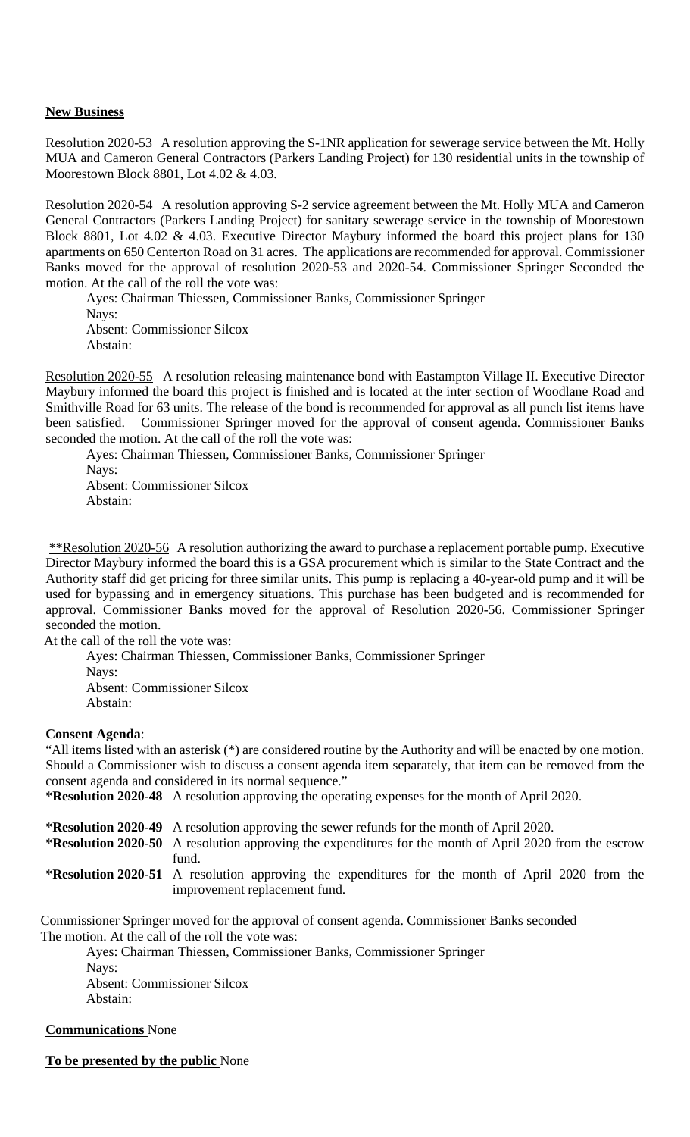# **New Business**

Resolution 2020-53 A resolution approving the S-1NR application for sewerage service between the Mt. Holly MUA and Cameron General Contractors (Parkers Landing Project) for 130 residential units in the township of Moorestown Block 8801, Lot 4.02 & 4.03.

Resolution 2020-54 A resolution approving S-2 service agreement between the Mt. Holly MUA and Cameron General Contractors (Parkers Landing Project) for sanitary sewerage service in the township of Moorestown Block 8801, Lot 4.02 & 4.03. Executive Director Maybury informed the board this project plans for 130 apartments on 650 Centerton Road on 31 acres. The applications are recommended for approval. Commissioner Banks moved for the approval of resolution 2020-53 and 2020-54. Commissioner Springer Seconded the motion. At the call of the roll the vote was:

Ayes: Chairman Thiessen, Commissioner Banks, Commissioner Springer Nays: Absent: Commissioner Silcox Abstain:

Resolution 2020-55 A resolution releasing maintenance bond with Eastampton Village II. Executive Director Maybury informed the board this project is finished and is located at the inter section of Woodlane Road and Smithville Road for 63 units. The release of the bond is recommended for approval as all punch list items have been satisfied. Commissioner Springer moved for the approval of consent agenda. Commissioner Banks seconded the motion. At the call of the roll the vote was:

Ayes: Chairman Thiessen, Commissioner Banks, Commissioner Springer Nays: Absent: Commissioner Silcox Abstain:

\*\*Resolution 2020-56 A resolution authorizing the award to purchase a replacement portable pump. Executive Director Maybury informed the board this is a GSA procurement which is similar to the State Contract and the Authority staff did get pricing for three similar units. This pump is replacing a 40-year-old pump and it will be used for bypassing and in emergency situations. This purchase has been budgeted and is recommended for approval. Commissioner Banks moved for the approval of Resolution 2020-56. Commissioner Springer seconded the motion.

At the call of the roll the vote was:

Ayes: Chairman Thiessen, Commissioner Banks, Commissioner Springer Nays: Absent: Commissioner Silcox Abstain:

#### **Consent Agenda**:

"All items listed with an asterisk (\*) are considered routine by the Authority and will be enacted by one motion. Should a Commissioner wish to discuss a consent agenda item separately, that item can be removed from the consent agenda and considered in its normal sequence."

\***Resolution 2020-48** A resolution approving the operating expenses for the month of April 2020.

\***Resolution 2020-49** A resolution approving the sewer refunds for the month of April 2020.

\***Resolution 2020-50** A resolution approving the expenditures for the month of April 2020 from the escrow fund.

\***Resolution 2020-51** A resolution approving the expenditures for the month of April 2020 from the improvement replacement fund.

Commissioner Springer moved for the approval of consent agenda. Commissioner Banks seconded The motion. At the call of the roll the vote was:

Ayes: Chairman Thiessen, Commissioner Banks, Commissioner Springer Nays: Absent: Commissioner Silcox Abstain:

# **Communications** None

**To be presented by the public** None